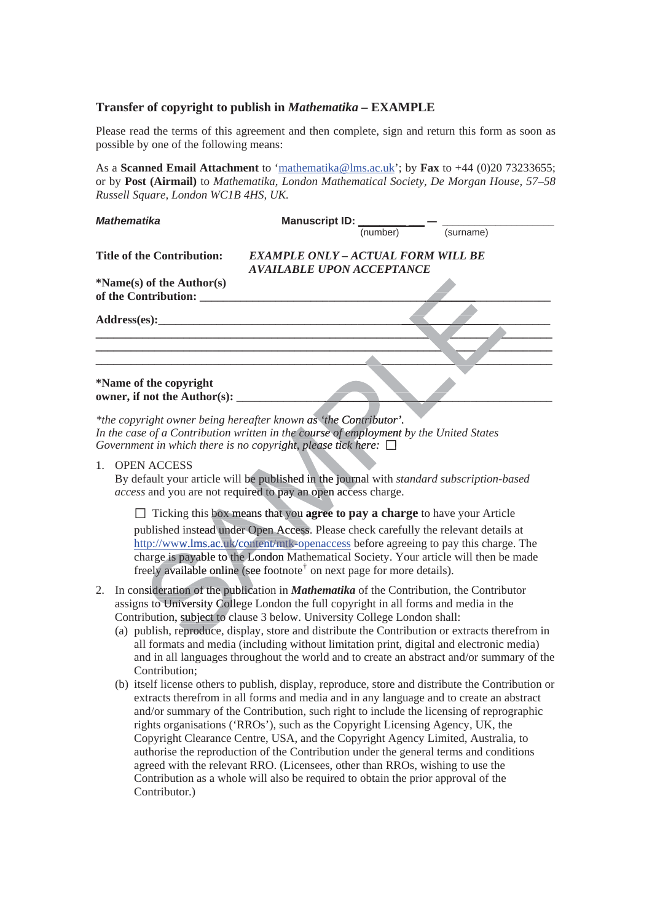## **Transfer of copyright to publish in** *Mathematika –* **EXAMPLE**

Please read the terms of this agreement and then complete, sign and return this form as soon as possible by one of the following means:

As a **Scanned Email Attachment** to 'mathematika@lms.ac.uk'; by **Fax** to +44 (0)20 73233655; or by **Post (Airmail)** to *Mathematika, London Mathematical Society, De Morgan House, 57–58 Russell Square, London WC1B 4HS, UK.* 

| <b>Mathematika</b>                | Manuscript ID: __<br>(number)<br>(surname) |
|-----------------------------------|--------------------------------------------|
|                                   |                                            |
| <b>Title of the Contribution:</b> | <b>EXAMPLE ONLY - ACTUAL FORM WILL BE</b>  |
|                                   | <b>AVAILABLE UPON ACCEPTANCE</b>           |
| $*Name(s)$ of the Author(s)       |                                            |
| of the Contribution:              |                                            |
|                                   |                                            |
|                                   |                                            |
|                                   |                                            |
|                                   |                                            |
|                                   |                                            |
|                                   |                                            |
| *Name of the copyright            |                                            |
| owner, if not the Author(s): __   |                                            |
|                                   |                                            |

\*the copyright owner being hereafter known as 'the Contributor'. In the case of a Contribution written in the course of employment by the United States *Government in which there is no copyright, please tick here:*  $\Box$ 

1. OPEN ACCESS

By default your article will be published in the journal with *standard subscription-based* access and you are not required to pay an open access charge.

□ Ticking this box means that you **agree to pay a charge** to have your Article published instead under Open Access. Please check carefully the relevant details at http://www.lms.ac.uk/content/mtk-openaccess before agreeing to pay this charge. The charge is payable to the London Mathematical Society. Your article will then be made freely available online (see footnote<sup>†</sup> on next page for more details). whist and you are not required to pay a<br>  $\Box$  Ticking this box means that you<br>
ublished instead under Open Acces<br>
ttp://www.lms.ac.uk/content/mtk-o<br>
harge is payable to the London Ma<br>
reely available online (see footnote<br>

- 2. In consideration of the publication in *Mathematika* of the Contribution, the Contributor assigns to University College London the full copyright in all forms and media in the Contribution, subject to clause 3 below. University College London shall:
	- (a) publish, reproduce, display, store and distribute the Contribution or extracts therefrom in all formats and media (including without limitation print, digital and electronic media) and in all languages throughout the world and to create an abstract and/or summary of the Contribution;
	- (b) itself license others to publish, display, reproduce, store and distribute the Contribution or extracts therefrom in all forms and media and in any language and to create an abstract and/or summary of the Contribution, such right to include the licensing of reprographic rights organisations ('RROs'), such as the Copyright Licensing Agency, UK, the Copyright Clearance Centre, USA, and the Copyright Agency Limited, Australia, to authorise the reproduction of the Contribution under the general terms and conditions agreed with the relevant RRO. (Licensees, other than RROs, wishing to use the Contribution as a whole will also be required to obtain the prior approval of the Contributor.)